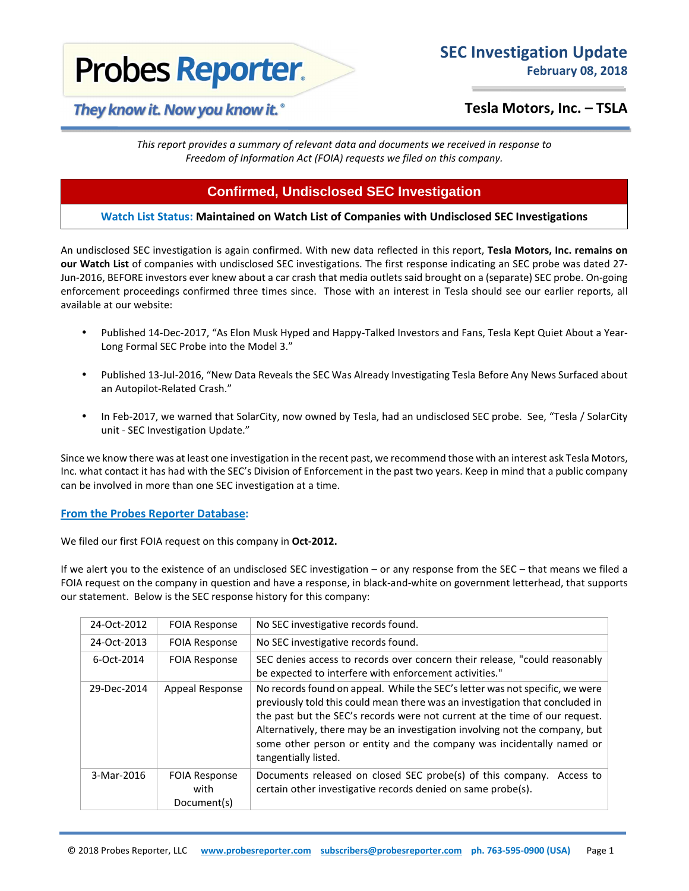# **Probes Reporter.**

# **Tesla Motors, Inc. – TSLA**

*This report provides a summary of relevant data and documents we received in response to Freedom of Information Act (FOIA) requests we filed on this company.*

# **Confirmed, Undisclosed SEC Investigation**

## **Watch List Status: Maintained on Watch List of Companies with Undisclosed SEC Investigations**

An undisclosed SEC investigation is again confirmed. With new data reflected in this report, **Tesla Motors, Inc. remains on our Watch List** of companies with undisclosed SEC investigations. The first response indicating an SEC probe was dated 27- Jun-2016, BEFORE investors ever knew about a car crash that media outlets said brought on a (separate) SEC probe. On-going enforcement proceedings confirmed three times since. Those with an interest in Tesla should see our earlier reports, all available at our website:

- Published 14-Dec-2017, "As Elon Musk Hyped and Happy-Talked Investors and Fans, Tesla Kept Quiet About a Year-Long Formal SEC Probe into the Model 3."
- Published 13-Jul-2016, "New Data Reveals the SEC Was Already Investigating Tesla Before Any News Surfaced about an Autopilot-Related Crash."
- In Feb-2017, we warned that SolarCity, now owned by Tesla, had an undisclosed SEC probe. See, "Tesla / SolarCity unit - SEC Investigation Update."

Since we know there was at least one investigation in the recent past, we recommend those with an interest ask Tesla Motors, Inc. what contact it has had with the SEC's Division of Enforcement in the past two years. Keep in mind that a public company can be involved in more than one SEC investigation at a time.

### **From the Probes Reporter Database:**

We filed our first FOIA request on this company in **Oct-2012.** 

If we alert you to the existence of an undisclosed SEC investigation – or any response from the SEC – that means we filed a FOIA request on the company in question and have a response, in black-and-white on government letterhead, that supports our statement. Below is the SEC response history for this company:

| 24-Oct-2012 | <b>FOIA Response</b>                        | No SEC investigative records found.                                                                                                                                                                                                                                                                                                                                                                                         |
|-------------|---------------------------------------------|-----------------------------------------------------------------------------------------------------------------------------------------------------------------------------------------------------------------------------------------------------------------------------------------------------------------------------------------------------------------------------------------------------------------------------|
| 24-Oct-2013 | <b>FOIA Response</b>                        | No SEC investigative records found.                                                                                                                                                                                                                                                                                                                                                                                         |
| 6-Oct-2014  | <b>FOIA Response</b>                        | SEC denies access to records over concern their release, "could reasonably<br>be expected to interfere with enforcement activities."                                                                                                                                                                                                                                                                                        |
| 29-Dec-2014 | Appeal Response                             | No records found on appeal. While the SEC's letter was not specific, we were<br>previously told this could mean there was an investigation that concluded in<br>the past but the SEC's records were not current at the time of our request.<br>Alternatively, there may be an investigation involving not the company, but<br>some other person or entity and the company was incidentally named or<br>tangentially listed. |
| 3-Mar-2016  | <b>FOIA Response</b><br>with<br>Document(s) | Documents released on closed SEC probe(s) of this company. Access to<br>certain other investigative records denied on same probe(s).                                                                                                                                                                                                                                                                                        |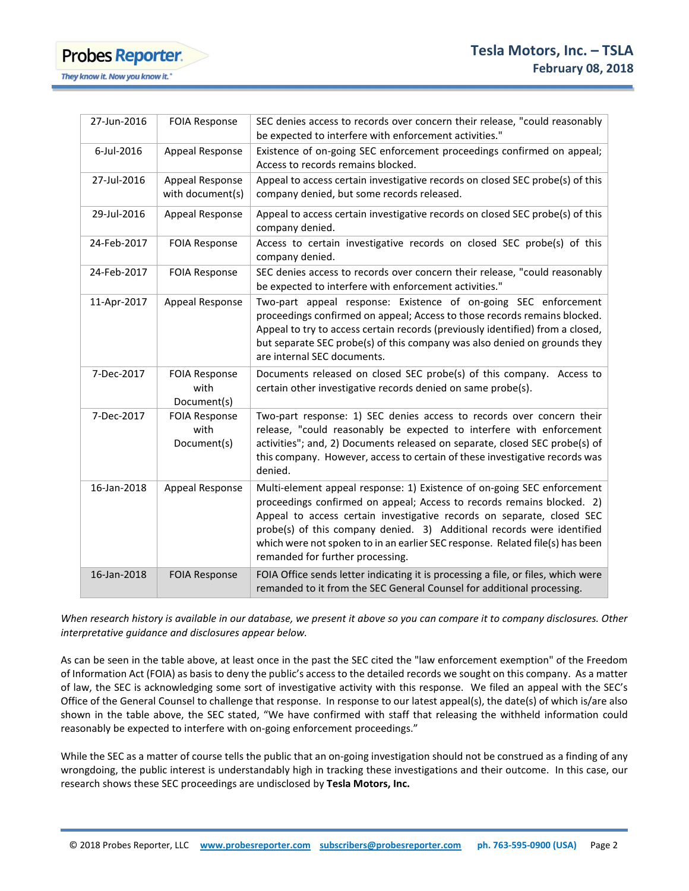**Probes Reporter.** They know it. Now you know it.'

| 27-Jun-2016 | <b>FOIA Response</b>                        | SEC denies access to records over concern their release, "could reasonably<br>be expected to interfere with enforcement activities."                                                                                                                                                                                                                                                                                       |
|-------------|---------------------------------------------|----------------------------------------------------------------------------------------------------------------------------------------------------------------------------------------------------------------------------------------------------------------------------------------------------------------------------------------------------------------------------------------------------------------------------|
| 6-Jul-2016  | Appeal Response                             | Existence of on-going SEC enforcement proceedings confirmed on appeal;<br>Access to records remains blocked.                                                                                                                                                                                                                                                                                                               |
| 27-Jul-2016 | Appeal Response<br>with document(s)         | Appeal to access certain investigative records on closed SEC probe(s) of this<br>company denied, but some records released.                                                                                                                                                                                                                                                                                                |
| 29-Jul-2016 | Appeal Response                             | Appeal to access certain investigative records on closed SEC probe(s) of this<br>company denied.                                                                                                                                                                                                                                                                                                                           |
| 24-Feb-2017 | <b>FOIA Response</b>                        | Access to certain investigative records on closed SEC probe(s) of this<br>company denied.                                                                                                                                                                                                                                                                                                                                  |
| 24-Feb-2017 | <b>FOIA Response</b>                        | SEC denies access to records over concern their release, "could reasonably<br>be expected to interfere with enforcement activities."                                                                                                                                                                                                                                                                                       |
| 11-Apr-2017 | Appeal Response                             | Two-part appeal response: Existence of on-going SEC enforcement<br>proceedings confirmed on appeal; Access to those records remains blocked.<br>Appeal to try to access certain records (previously identified) from a closed,<br>but separate SEC probe(s) of this company was also denied on grounds they<br>are internal SEC documents.                                                                                 |
| 7-Dec-2017  | <b>FOIA Response</b><br>with<br>Document(s) | Documents released on closed SEC probe(s) of this company. Access to<br>certain other investigative records denied on same probe(s).                                                                                                                                                                                                                                                                                       |
| 7-Dec-2017  | <b>FOIA Response</b><br>with<br>Document(s) | Two-part response: 1) SEC denies access to records over concern their<br>release, "could reasonably be expected to interfere with enforcement<br>activities"; and, 2) Documents released on separate, closed SEC probe(s) of<br>this company. However, access to certain of these investigative records was<br>denied.                                                                                                     |
| 16-Jan-2018 | Appeal Response                             | Multi-element appeal response: 1) Existence of on-going SEC enforcement<br>proceedings confirmed on appeal; Access to records remains blocked. 2)<br>Appeal to access certain investigative records on separate, closed SEC<br>probe(s) of this company denied. 3) Additional records were identified<br>which were not spoken to in an earlier SEC response. Related file(s) has been<br>remanded for further processing. |
| 16-Jan-2018 | <b>FOIA Response</b>                        | FOIA Office sends letter indicating it is processing a file, or files, which were<br>remanded to it from the SEC General Counsel for additional processing.                                                                                                                                                                                                                                                                |

*When research history is available in our database, we present it above so you can compare it to company disclosures. Other interpretative guidance and disclosures appear below.* 

As can be seen in the table above, at least once in the past the SEC cited the "law enforcement exemption" of the Freedom of Information Act (FOIA) as basis to deny the public's access to the detailed records we sought on this company. As a matter of law, the SEC is acknowledging some sort of investigative activity with this response. We filed an appeal with the SEC's Office of the General Counsel to challenge that response. In response to our latest appeal(s), the date(s) of which is/are also shown in the table above, the SEC stated, "We have confirmed with staff that releasing the withheld information could reasonably be expected to interfere with on-going enforcement proceedings."

While the SEC as a matter of course tells the public that an on-going investigation should not be construed as a finding of any wrongdoing, the public interest is understandably high in tracking these investigations and their outcome. In this case, our research shows these SEC proceedings are undisclosed by **Tesla Motors, Inc.**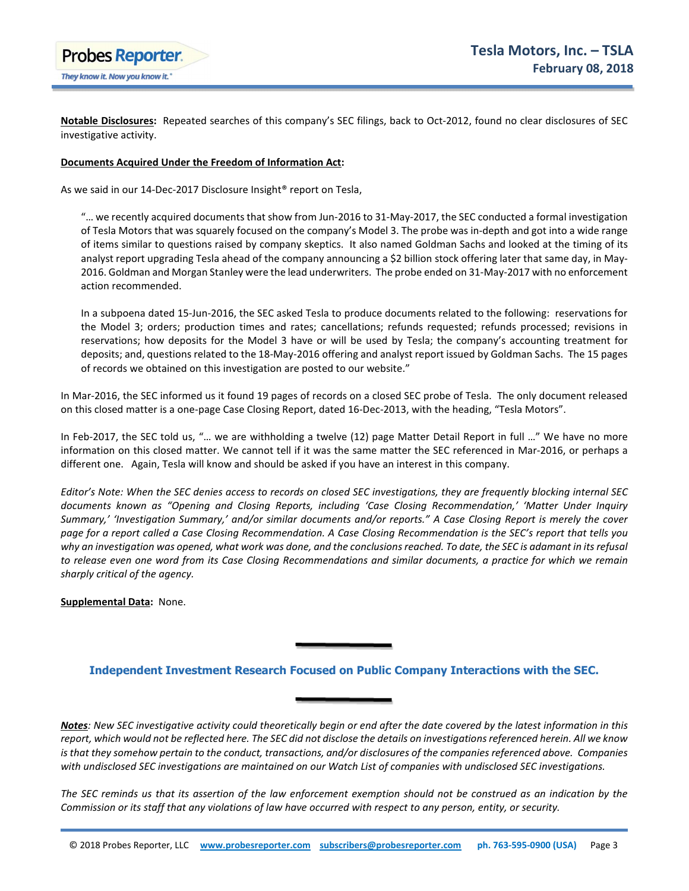

**Notable Disclosures:** Repeated searches of this company's SEC filings, back to Oct-2012, found no clear disclosures of SEC investigative activity.

#### **Documents Acquired Under the Freedom of Information Act:**

As we said in our 14-Dec-2017 Disclosure Insight® report on Tesla,

"… we recently acquired documents that show from Jun-2016 to 31-May-2017, the SEC conducted a formal investigation of Tesla Motors that was squarely focused on the company's Model 3. The probe was in-depth and got into a wide range of items similar to questions raised by company skeptics. It also named Goldman Sachs and looked at the timing of its analyst report upgrading Tesla ahead of the company announcing a \$2 billion stock offering later that same day, in May-2016. Goldman and Morgan Stanley were the lead underwriters. The probe ended on 31-May-2017 with no enforcement action recommended.

In a subpoena dated 15-Jun-2016, the SEC asked Tesla to produce documents related to the following: reservations for the Model 3; orders; production times and rates; cancellations; refunds requested; refunds processed; revisions in reservations; how deposits for the Model 3 have or will be used by Tesla; the company's accounting treatment for deposits; and, questions related to the 18-May-2016 offering and analyst report issued by Goldman Sachs. The 15 pages of records we obtained on this investigation are posted to our website."

In Mar-2016, the SEC informed us it found 19 pages of records on a closed SEC probe of Tesla. The only document released on this closed matter is a one-page Case Closing Report, dated 16-Dec-2013, with the heading, "Tesla Motors".

In Feb-2017, the SEC told us, "… we are withholding a twelve (12) page Matter Detail Report in full …" We have no more information on this closed matter. We cannot tell if it was the same matter the SEC referenced in Mar-2016, or perhaps a different one. Again, Tesla will know and should be asked if you have an interest in this company.

*Editor's Note: When the SEC denies access to records on closed SEC investigations, they are frequently blocking internal SEC documents known as "Opening and Closing Reports, including 'Case Closing Recommendation,' 'Matter Under Inquiry Summary,' 'Investigation Summary,' and/or similar documents and/or reports." A Case Closing Report is merely the cover page for a report called a Case Closing Recommendation. A Case Closing Recommendation is the SEC's report that tells you why an investigation was opened, what work was done, and the conclusions reached. To date, the SEC is adamant in its refusal to release even one word from its Case Closing Recommendations and similar documents, a practice for which we remain sharply critical of the agency.* 

**Supplemental Data:** None.

## **Independent Investment Research Focused on Public Company Interactions with the SEC.**

*Notes: New SEC investigative activity could theoretically begin or end after the date covered by the latest information in this report, which would not be reflected here. The SEC did not disclose the details on investigations referenced herein. All we know is that they somehow pertain to the conduct, transactions, and/or disclosures of the companies referenced above. Companies with undisclosed SEC investigations are maintained on our Watch List of companies with undisclosed SEC investigations.* 

*The SEC reminds us that its assertion of the law enforcement exemption should not be construed as an indication by the Commission or its staff that any violations of law have occurred with respect to any person, entity, or security.*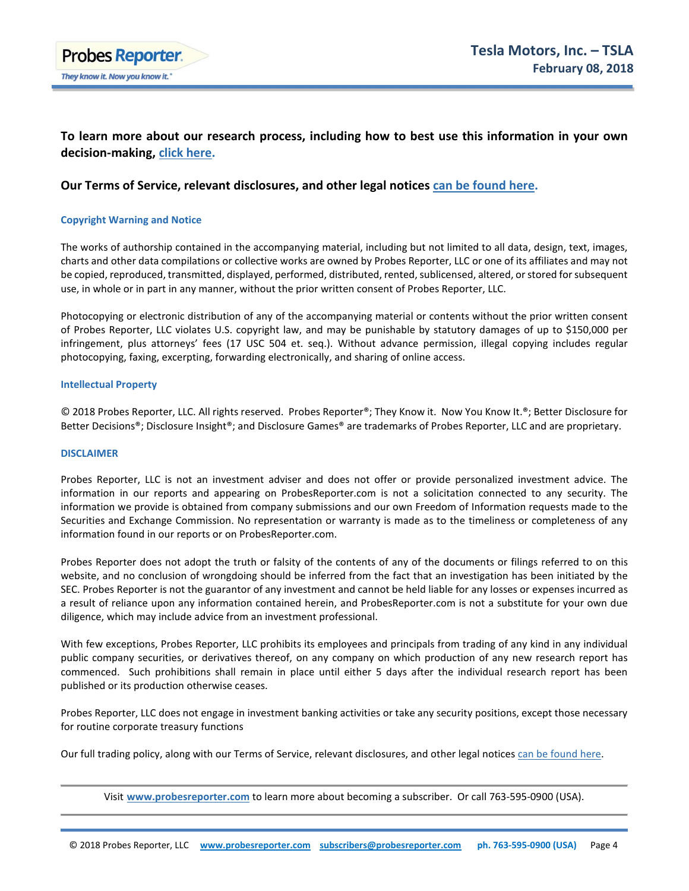

## **To learn more about our research process, including how to best use this information in your own decision-making, click here.**

## **Our Terms of Service, relevant disclosures, and other legal notices can be found here.**

#### **Copyright Warning and Notice**

The works of authorship contained in the accompanying material, including but not limited to all data, design, text, images, charts and other data compilations or collective works are owned by Probes Reporter, LLC or one of its affiliates and may not be copied, reproduced, transmitted, displayed, performed, distributed, rented, sublicensed, altered, or stored for subsequent use, in whole or in part in any manner, without the prior written consent of Probes Reporter, LLC.

Photocopying or electronic distribution of any of the accompanying material or contents without the prior written consent of Probes Reporter, LLC violates U.S. copyright law, and may be punishable by statutory damages of up to \$150,000 per infringement, plus attorneys' fees (17 USC 504 et. seq.). Without advance permission, illegal copying includes regular photocopying, faxing, excerpting, forwarding electronically, and sharing of online access.

#### **Intellectual Property**

© 2018 Probes Reporter, LLC. All rights reserved. Probes Reporter®; They Know it. Now You Know It.®; Better Disclosure for Better Decisions®; Disclosure Insight®; and Disclosure Games® are trademarks of Probes Reporter, LLC and are proprietary.

#### **DISCLAIMER**

Probes Reporter, LLC is not an investment adviser and does not offer or provide personalized investment advice. The information in our reports and appearing on ProbesReporter.com is not a solicitation connected to any security. The information we provide is obtained from company submissions and our own Freedom of Information requests made to the Securities and Exchange Commission. No representation or warranty is made as to the timeliness or completeness of any information found in our reports or on ProbesReporter.com.

Probes Reporter does not adopt the truth or falsity of the contents of any of the documents or filings referred to on this website, and no conclusion of wrongdoing should be inferred from the fact that an investigation has been initiated by the SEC. Probes Reporter is not the guarantor of any investment and cannot be held liable for any losses or expenses incurred as a result of reliance upon any information contained herein, and ProbesReporter.com is not a substitute for your own due diligence, which may include advice from an investment professional.

With few exceptions, Probes Reporter, LLC prohibits its employees and principals from trading of any kind in any individual public company securities, or derivatives thereof, on any company on which production of any new research report has commenced. Such prohibitions shall remain in place until either 5 days after the individual research report has been published or its production otherwise ceases.

Probes Reporter, LLC does not engage in investment banking activities or take any security positions, except those necessary for routine corporate treasury functions

Our full trading policy, along with our Terms of Service, relevant disclosures, and other legal notices can be found here.

Visit **Uwww.probesreporter.com** to learn more about becoming a subscriber. Or call 763-595-0900 (USA).